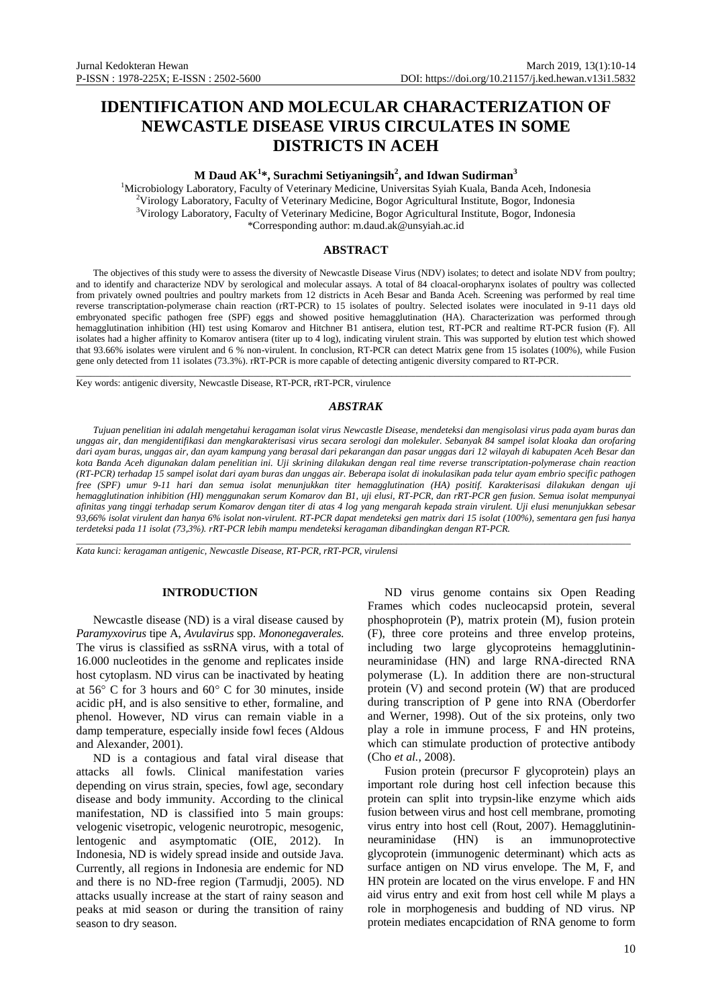# **IDENTIFICATION AND MOLECULAR CHARACTERIZATION OF NEWCASTLE DISEASE VIRUS CIRCULATES IN SOME DISTRICTS IN ACEH**

# **M Daud AK<sup>1</sup> \*, Surachmi Setiyaningsih<sup>2</sup> , and Idwan Sudirman<sup>3</sup>**

<sup>1</sup>Microbiology Laboratory, Faculty of Veterinary Medicine, Universitas Syiah Kuala, Banda Aceh, Indonesia <sup>2</sup>Virology Laboratory, Faculty of Veterinary Medicine, Bogor Agricultural Institute, Bogor, Indonesia <sup>3</sup>Virology Laboratory, Faculty of Veterinary Medicine, Bogor Agricultural Institute, Bogor, Indonesia \*Corresponding author[: m.daud.ak@unsyiah.ac.id](mailto:m.daud.ak@unsyiah.ac.id)

## **ABSTRACT**

The objectives of this study were to assess the diversity of Newcastle Disease Virus (NDV) isolates; to detect and isolate NDV from poultry; and to identify and characterize NDV by serological and molecular assays. A total of 84 cloacal-oropharynx isolates of poultry was collected from privately owned poultries and poultry markets from 12 districts in Aceh Besar and Banda Aceh. Screening was performed by real time reverse transcriptation-polymerase chain reaction (rRT-PCR) to 15 isolates of poultry. Selected isolates were inoculated in 9-11 days old embryonated specific pathogen free (SPF) eggs and showed positive hemagglutination (HA). Characterization was performed through hemagglutination inhibition (HI) test using Komarov and Hitchner B1 antisera, elution test, RT-PCR and realtime RT-PCR fusion (F). All isolates had a higher affinity to Komarov antisera (titer up to 4 log), indicating virulent strain. This was supported by elution test which showed that 93.66% isolates were virulent and 6 % non-virulent. In conclusion, RT-PCR can detect Matrix gene from 15 isolates (100%), while Fusion gene only detected from 11 isolates (73.3%). rRT-PCR is more capable of detecting antigenic diversity compared to RT-PCR.

\_\_\_\_\_\_\_\_\_\_\_\_\_\_\_\_\_\_\_\_\_\_\_\_\_\_\_\_\_\_\_\_\_\_\_\_\_\_\_\_\_\_\_\_\_\_\_\_\_\_\_\_\_\_\_\_\_\_\_\_\_\_\_\_\_\_\_\_\_\_\_\_\_\_\_\_\_\_\_\_\_\_\_\_\_\_\_\_\_\_\_\_\_\_\_\_\_\_\_\_\_\_\_\_\_\_\_\_\_\_\_\_\_\_\_\_ Key words: antigenic diversity, Newcastle Disease, RT-PCR, rRT-PCR, virulence

### *ABSTRAK*

*Tujuan penelitian ini adalah mengetahui keragaman isolat virus Newcastle Disease, mendeteksi dan mengisolasi virus pada ayam buras dan unggas air, dan mengidentifikasi dan mengkarakterisasi virus secara serologi dan molekuler. Sebanyak 84 sampel isolat kloaka dan orofaring dari ayam buras, unggas air, dan ayam kampung yang berasal dari pekarangan dan pasar unggas dari 12 wilayah di kabupaten Aceh Besar dan kota Banda Aceh digunakan dalam penelitian ini. Uji skrining dilakukan dengan real time reverse transcriptation-polymerase chain reaction (RT-PCR) terhadap 15 sampel isolat dari ayam buras dan unggas air. Beberapa isolat di inokulasikan pada telur ayam embrio specific pathogen free (SPF) umur 9-11 hari dan semua isolat menunjukkan titer hemagglutination (HA) positif. Karakterisasi dilakukan dengan uji hemagglutination inhibition (HI) menggunakan serum Komarov dan B1, uji elusi, RT-PCR, dan rRT-PCR gen fusion. Semua isolat mempunyai afinitas yang tinggi terhadap serum Komarov dengan titer di atas 4 log yang mengarah kepada strain virulent. Uji elusi menunjukkan sebesar 93,66% isolat virulent dan hanya 6% isolat non-virulent. RT-PCR dapat mendeteksi gen matrix dari 15 isolat (100%), sementara gen fusi hanya terdeteksi pada 11 isolat (73,3%). rRT-PCR lebih mampu mendeteksi keragaman dibandingkan dengan RT-PCR.*

\_\_\_\_\_\_\_\_\_\_\_\_\_\_\_\_\_\_\_\_\_\_\_\_\_\_\_\_\_\_\_\_\_\_\_\_\_\_\_\_\_\_\_\_\_\_\_\_\_\_\_\_\_\_\_\_\_\_\_\_\_\_\_\_\_\_\_\_\_\_\_\_\_\_\_\_\_\_\_\_\_\_\_\_\_\_\_\_\_\_\_\_\_\_\_\_\_\_\_\_\_\_\_\_\_\_\_\_\_\_\_\_\_\_\_\_

*Kata kunci: keragaman antigenic, Newcastle Disease, RT-PCR, rRT-PCR, virulensi*

## **INTRODUCTION**

Newcastle disease (ND) is a viral disease caused by *Paramyxovirus* tipe A, *Avulavirus* spp. *Mononegaverales*. The virus is classified as ssRNA virus, with a total of 16.000 nucleotides in the genome and replicates inside host cytoplasm. ND virus can be inactivated by heating at  $56^{\circ}$  C for 3 hours and  $60^{\circ}$  C for 30 minutes, inside acidic pH, and is also sensitive to ether, formaline, and phenol. However, ND virus can remain viable in a damp temperature, especially inside fowl feces (Aldous and Alexander, 2001).

ND is a contagious and fatal viral disease that attacks all fowls. Clinical manifestation varies depending on virus strain, species, fowl age, secondary disease and body immunity. According to the clinical manifestation, ND is classified into 5 main groups: velogenic visetropic, velogenic neurotropic, mesogenic, lentogenic and asymptomatic (OIE, 2012). In Indonesia, ND is widely spread inside and outside Java. Currently, all regions in Indonesia are endemic for ND and there is no ND-free region (Tarmudji, 2005). ND attacks usually increase at the start of rainy season and peaks at mid season or during the transition of rainy season to dry season.

ND virus genome contains six Open Reading Frames which codes nucleocapsid protein, several phosphoprotein (P), matrix protein (M), fusion protein (F), three core proteins and three envelop proteins, including two large glycoproteins hemagglutininneuraminidase (HN) and large RNA-directed RNA polymerase (L). In addition there are non-structural protein (V) and second protein (W) that are produced during transcription of P gene into RNA (Oberdorfer and Werner, 1998). Out of the six proteins, only two play a role in immune process, F and HN proteins, which can stimulate production of protective antibody (Cho *et al.*, 2008).

Fusion protein (precursor F glycoprotein) plays an important role during host cell infection because this protein can split into trypsin-like enzyme which aids fusion between virus and host cell membrane, promoting virus entry into host cell (Rout, 2007). Hemagglutininneuraminidase (HN) is an immunoprotective glycoprotein (immunogenic determinant) which acts as surface antigen on ND virus envelope. The M, F, and HN protein are located on the virus envelope. F and HN aid virus entry and exit from host cell while M plays a role in morphogenesis and budding of ND virus. NP protein mediates encapcidation of RNA genome to form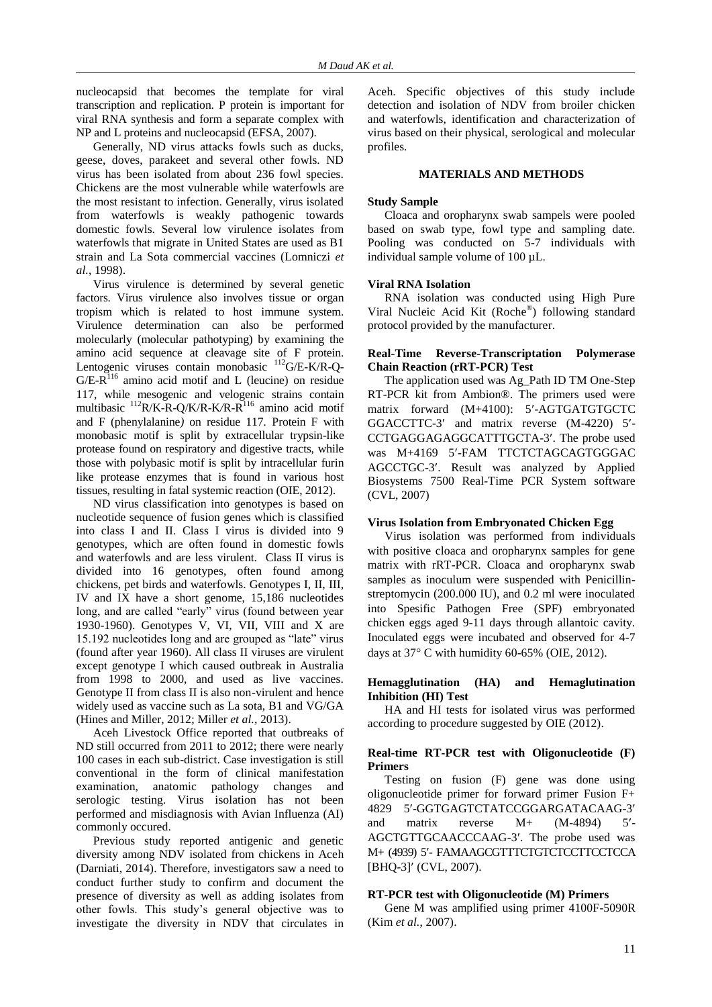nucleocapsid that becomes the template for viral transcription and replication. P protein is important for viral RNA synthesis and form a separate complex with NP and L proteins and nucleocapsid (EFSA, 2007).

Generally, ND virus attacks fowls such as ducks, geese, doves, parakeet and several other fowls. ND virus has been isolated from about 236 fowl species. Chickens are the most vulnerable while waterfowls are the most resistant to infection. Generally, virus isolated from waterfowls is weakly pathogenic towards domestic fowls. Several low virulence isolates from waterfowls that migrate in United States are used as B1 strain and La Sota commercial vaccines (Lomniczi *et al.*, 1998).

Virus virulence is determined by several genetic factors. Virus virulence also involves tissue or organ tropism which is related to host immune system. Virulence determination can also be performed molecularly (molecular pathotyping) by examining the amino acid sequence at cleavage site of F protein. Lentogenic viruses contain monobasic <sup>112</sup>G/E-K/R-O- $G/E-R<sup>116</sup>$  amino acid motif and L (leucine) on residue 117, while mesogenic and velogenic strains contain multibasic <sup>112</sup>R/K-R-Q/K/R-K*/*R-R <sup>116</sup> amino acid motif and F (phenylalanine*)* on residue 117*.* Protein F with monobasic motif is split by extracellular trypsin-like protease found on respiratory and digestive tracts, while those with polybasic motif is split by intracellular furin like protease enzymes that is found in various host tissues, resulting in fatal systemic reaction (OIE, 2012).

ND virus classification into genotypes is based on nucleotide sequence of fusion genes which is classified into class I and II. Class I virus is divided into 9 genotypes, which are often found in domestic fowls and waterfowls and are less virulent. Class II virus is divided into 16 genotypes, often found among chickens, pet birds and waterfowls. Genotypes I, II, III, IV and IX have a short genome, 15,186 nucleotides long, and are called "early" virus (found between year 1930-1960). Genotypes V, VI, VII, VIII and X are 15.192 nucleotides long and are grouped as "late" virus (found after year 1960). All class II viruses are virulent except genotype I which caused outbreak in Australia from 1998 to 2000, and used as live vaccines. Genotype II from class II is also non-virulent and hence widely used as vaccine such as La sota, B1 and VG/GA (Hines and Miller, 2012; Miller *et al.*, 2013).

Aceh Livestock Office reported that outbreaks of ND still occurred from 2011 to 2012; there were nearly 100 cases in each sub-district. Case investigation is still conventional in the form of clinical manifestation examination, anatomic pathology changes and serologic testing. Virus isolation has not been performed and misdiagnosis with Avian Influenza (AI) commonly occured.

Previous study reported antigenic and genetic diversity among NDV isolated from chickens in Aceh (Darniati, 2014). Therefore, investigators saw a need to conduct further study to confirm and document the presence of diversity as well as adding isolates from other fowls. This study's general objective was to investigate the diversity in NDV that circulates in Aceh. Specific objectives of this study include detection and isolation of NDV from broiler chicken and waterfowls, identification and characterization of virus based on their physical, serological and molecular profiles.

#### **MATERIALS AND METHODS**

#### **Study Sample**

Cloaca and oropharynx swab sampels were pooled based on swab type, fowl type and sampling date. Pooling was conducted on 5-7 individuals with individual sample volume of 100 µL.

#### **Viral RNA Isolation**

RNA isolation was conducted using High Pure Viral Nucleic Acid Kit (Roche® ) following standard protocol provided by the manufacturer.

### **Real-Time Reverse-Transcriptation Polymerase Chain Reaction (rRT-PCR) Test**

The application used was Ag\_Path ID TM One-Step RT-PCR kit from Ambion®. The primers used were matrix forward (M+4100): 5'-AGTGATGTGCTC GGACCTTC-3' and matrix reverse (M-4220) 5'-CCTGAGGAGAGGCATTTGCTA-3'. The probe used was M+4169 5'-FAM TTCTCTAGCAGTGGGAC AGCCTGC-3. Result was analyzed by Applied Biosystems 7500 Real-Time PCR System software (CVL, 2007)

#### **Virus Isolation from Embryonated Chicken Egg**

Virus isolation was performed from individuals with positive cloaca and oropharynx samples for gene matrix with rRT-PCR. Cloaca and oropharynx swab samples as inoculum were suspended with Penicillinstreptomycin (200.000 IU), and 0.2 ml were inoculated into Spesific Pathogen Free (SPF) embryonated chicken eggs aged 9-11 days through allantoic cavity. Inoculated eggs were incubated and observed for 4-7 days at  $37^{\circ}$  C with humidity 60-65% (OIE, 2012).

## **Hemagglutination (HA) and Hemaglutination Inhibition (HI) Test**

HA and HI tests for isolated virus was performed according to procedure suggested by OIE (2012).

## **Real-time RT-PCR test with Oligonucleotide (F) Primers**

Testing on fusion (F) gene was done using oligonucleotide primer for forward primer Fusion F+ 4829 5'-GGTGAGTCTATCCGGARGATACAAG-3' and matrix reverse M+ (M-4894) 5- AGCTGTTGCAACCCAAG-3. The probe used was M+ (4939) 5'- FAMAAGCGTTTCTGTCTCCTTCCTCCA [BHQ-3]' (CVL, 2007).

#### **RT-PCR test with Oligonucleotide (M) Primers**

Gene M was amplified using primer 4100F-5090R (Kim *et al.*, 2007).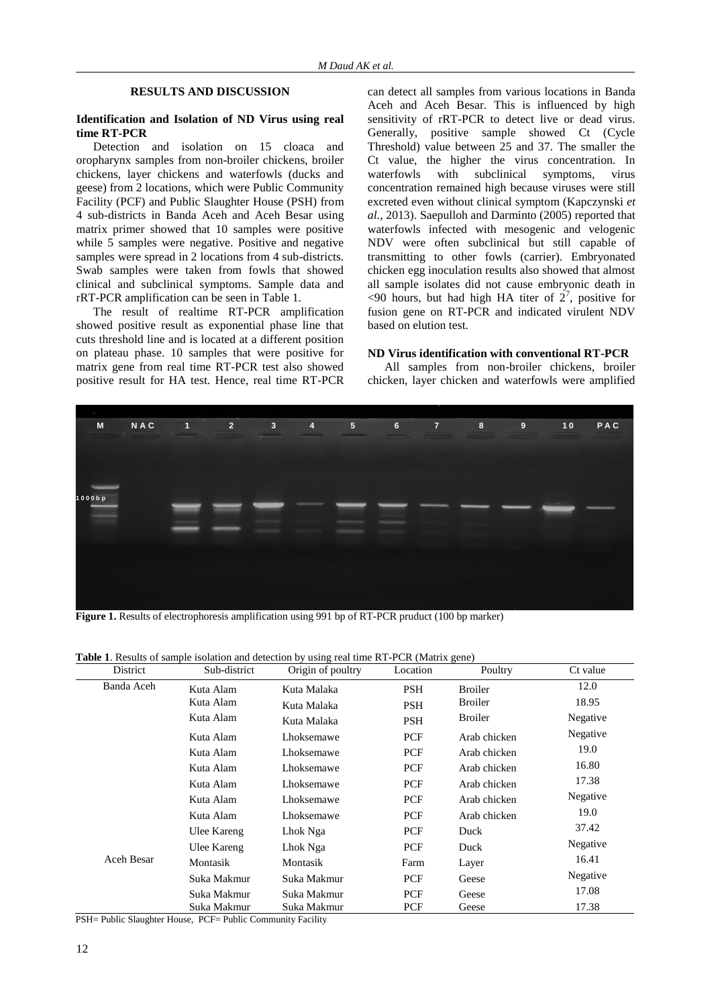## **RESULTS AND DISCUSSION**

#### **Identification and Isolation of ND Virus using real time RT-PCR**

Detection and isolation on 15 cloaca and oropharynx samples from non-broiler chickens, broiler chickens, layer chickens and waterfowls (ducks and geese) from 2 locations, which were Public Community Facility (PCF) and Public Slaughter House (PSH) from 4 sub-districts in Banda Aceh and Aceh Besar using matrix primer showed that 10 samples were positive while 5 samples were negative. Positive and negative samples were spread in 2 locations from 4 sub-districts. Swab samples were taken from fowls that showed clinical and subclinical symptoms. Sample data and rRT-PCR amplification can be seen in Table 1.

The result of realtime RT-PCR amplification showed positive result as exponential phase line that cuts threshold line and is located at a different position on plateau phase. 10 samples that were positive for matrix gene from real time RT-PCR test also showed positive result for HA test. Hence, real time RT-PCR can detect all samples from various locations in Banda Aceh and Aceh Besar. This is influenced by high sensitivity of rRT-PCR to detect live or dead virus. Generally, positive sample showed Ct (Cycle Threshold) value between 25 and 37. The smaller the Ct value, the higher the virus concentration. In waterfowls with subclinical symptoms, virus concentration remained high because viruses were still excreted even without clinical symptom (Kapczynski *et al.*, 2013). Saepulloh and Darminto (2005) reported that waterfowls infected with mesogenic and velogenic NDV were often subclinical but still capable of transmitting to other fowls (carrier). Embryonated chicken egg inoculation results also showed that almost all sample isolates did not cause embryonic death in  $\leq$ 90 hours, but had high HA titer of  $2^7$ , positive for fusion gene on RT-PCR and indicated virulent NDV based on elution test.

#### **ND Virus identification with conventional RT-PCR**

All samples from non-broiler chickens, broiler chicken, layer chicken and waterfowls were amplified



**Figure 1.** Results of electrophoresis amplification using 991 bp of RT-PCR pruduct (100 bp marker)

| District   | Sub-district | Origin of poultry | Location   | Poultry        | Ct value |
|------------|--------------|-------------------|------------|----------------|----------|
| Banda Aceh | Kuta Alam    | Kuta Malaka       | <b>PSH</b> | <b>Broiler</b> | 12.0     |
|            | Kuta Alam    | Kuta Malaka       | <b>PSH</b> | <b>Broiler</b> | 18.95    |
|            | Kuta Alam    | Kuta Malaka       | <b>PSH</b> | <b>Broiler</b> | Negative |
|            | Kuta Alam    | Lhoksemawe        | <b>PCF</b> | Arab chicken   | Negative |
|            | Kuta Alam    | Lhoksemawe        | <b>PCF</b> | Arab chicken   | 19.0     |
|            | Kuta Alam    | Lhoksemawe        | <b>PCF</b> | Arab chicken   | 16.80    |
|            | Kuta Alam    | Lhoksemawe        | <b>PCF</b> | Arab chicken   | 17.38    |
|            | Kuta Alam    | Lhoksemawe        | <b>PCF</b> | Arab chicken   | Negative |
|            | Kuta Alam    | Lhoksemawe        | <b>PCF</b> | Arab chicken   | 19.0     |
|            | Ulee Kareng  | Lhok Nga          | <b>PCF</b> | Duck           | 37.42    |
|            | Ulee Kareng  | Lhok Nga          | PCF        | Duck           | Negative |
| Aceh Besar | Montasik     | Montasik          | Farm       | Layer          | 16.41    |
|            | Suka Makmur  | Suka Makmur       | <b>PCF</b> | Geese          | Negative |
|            | Suka Makmur  | Suka Makmur       | <b>PCF</b> | Geese          | 17.08    |
|            | Suka Makmur  | Suka Makmur       | PCF        | Geese          | 17.38    |

**Table 1**. Results of sample isolation and detection by using real time RT-PCR (Matrix gene)

PSH= Public Slaughter House, PCF= Public Community Facility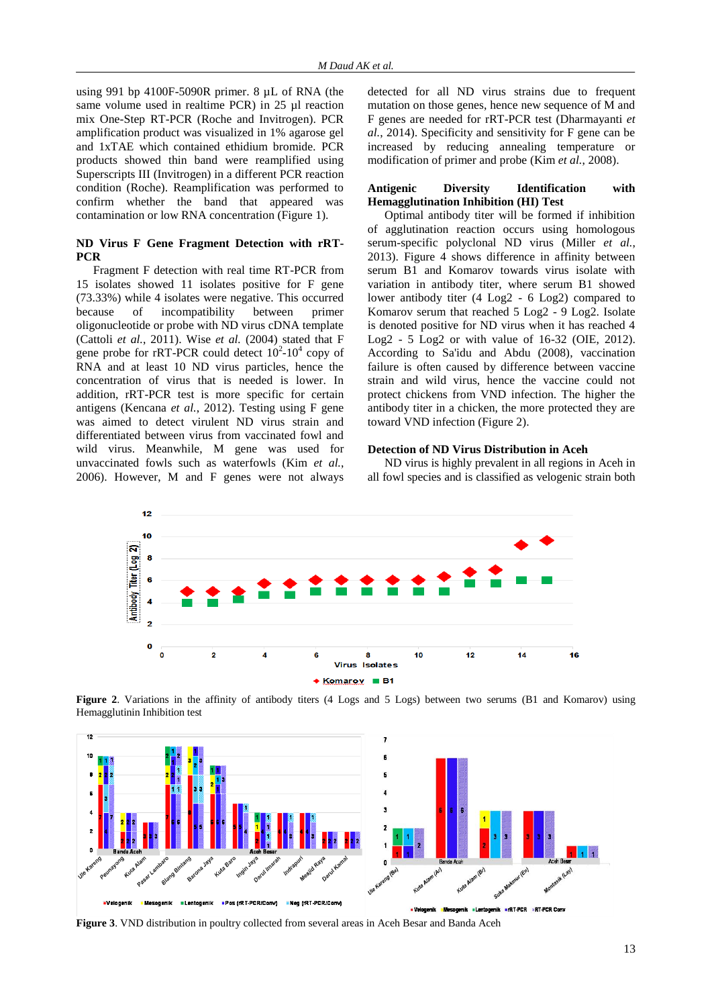using 991 bp 4100F-5090R primer. 8 µL of RNA (the same volume used in realtime PCR) in 25 µl reaction mix One-Step RT-PCR (Roche and Invitrogen). PCR amplification product was visualized in 1% agarose gel and 1xTAE which contained ethidium bromide*.* PCR products showed thin band were reamplified using Superscripts III (Invitrogen) in a different PCR reaction condition (Roche). Reamplification was performed to confirm whether the band that appeared was contamination or low RNA concentration (Figure 1).

## **ND Virus F Gene Fragment Detection with rRT-PCR**

Fragment F detection with real time RT-PCR from 15 isolates showed 11 isolates positive for F gene (73.33%) while 4 isolates were negative. This occurred because of incompatibility between primer oligonucleotide or probe with ND virus cDNA template (Cattoli *et al.*, 2011). Wise *et al.* (2004) stated that F gene probe for rRT-PCR could detect  $10^2$ - $10^4$  copy of RNA and at least 10 ND virus particles, hence the concentration of virus that is needed is lower. In addition, rRT-PCR test is more specific for certain antigens (Kencana *et al.*, 2012). Testing using F gene was aimed to detect virulent ND virus strain and differentiated between virus from vaccinated fowl and wild virus. Meanwhile, M gene was used for unvaccinated fowls such as waterfowls (Kim *et al.*, 2006). However, M and F genes were not always

detected for all ND virus strains due to frequent mutation on those genes, hence new sequence of M and F genes are needed for rRT-PCR test (Dharmayanti *et al.*, 2014). Specificity and sensitivity for F gene can be increased by reducing annealing temperature or modification of primer and probe (Kim *et al.*, 2008).

#### **Antigenic Diversity Identification with Hemagglutination Inhibition (HI) Test**

Optimal antibody titer will be formed if inhibition of agglutination reaction occurs using homologous serum-specific polyclonal ND virus (Miller *et al.*, 2013). Figure 4 shows difference in affinity between serum B1 and Komarov towards virus isolate with variation in antibody titer, where serum B1 showed lower antibody titer (4 Log2 - 6 Log2) compared to Komarov serum that reached 5 Log2 - 9 Log2. Isolate is denoted positive for ND virus when it has reached 4 Log2 - 5 Log2 or with value of 16-32 (OIE, 2012). According to Sa'idu and Abdu (2008), vaccination failure is often caused by difference between vaccine strain and wild virus, hence the vaccine could not protect chickens from VND infection. The higher the antibody titer in a chicken, the more protected they are toward VND infection (Figure 2).

## **Detection of ND Virus Distribution in Aceh**

ND virus is highly prevalent in all regions in Aceh in all fowl species and is classified as velogenic strain both



**Figure 2**. Variations in the affinity of antibody titers (4 Logs and 5 Logs) between two serums (B1 and Komarov) using Hemagglutinin Inhibition test



**Figure 3**. VND distribution in poultry collected from several areas in Aceh Besar and Banda Aceh